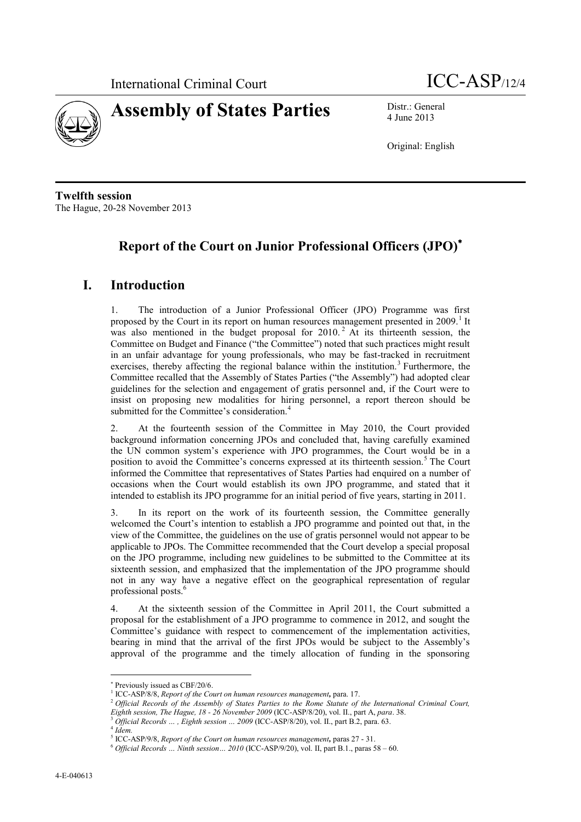



4 June 2013

Original: English

**Twelfth session** The Hague, 20-28 November 2013

# **Report of the Court on Junior Professional Officers (JPO)**

## **I. Introduction**

1. The introduction of a Junior Professional Officer (JPO) Programme was first proposed by the Court in its report on human resources management presented in 2009.<sup>1</sup> It was also mentioned in the budget proposal for  $2010$ .<sup>2</sup> At its thirteenth session, the Committee on Budget and Finance ("the Committee") noted that such practices might result in an unfair advantage for young professionals, who may be fast-tracked in recruitment exercises, thereby affecting the regional balance within the institution.<sup>3</sup> Furthermore, the Committee recalled that the Assembly of States Parties ("the Assembly") had adopted clear guidelines for the selection and engagement of gratis personnel and, if the Court were to insist on proposing new modalities for hiring personnel, a report thereon should be submitted for the Committee's consideration.<sup>4</sup>

2. At the fourteenth session of the Committee in May 2010, the Court provided background information concerning JPOs and concluded that, having carefully examined the UN common system's experience with JPO programmes, the Court would be in a position to avoid the Committee's concerns expressed at its thirteenth session.<sup>5</sup> The Court informed the Committee that representatives of States Parties had enquired on a number of occasions when the Court would establish its own JPO programme, and stated that it intended to establish its JPO programme for an initial period of five years, starting in 2011.

3. In its report on the work of its fourteenth session, the Committee generally welcomed the Court's intention to establish a JPO programme and pointed out that, in the view of the Committee, the guidelines on the use of gratis personnel would not appear to be applicable to JPOs. The Committee recommended that the Court develop a special proposal on the JPO programme, including new guidelines to be submitted to the Committee at its sixteenth session, and emphasized that the implementation of the JPO programme should not in any way have a negative effect on the geographical representation of regular professional posts.<sup>6</sup>

4. At the sixteenth session of the Committee in April 2011, the Court submitted a proposal for the establishment of a JPO programme to commence in 2012, and sought the Committee's guidance with respect to commencement of the implementation activities, bearing in mind that the arrival of the first JPOs would be subject to the Assembly's approval of the programme and the timely allocation of funding in the sponsoring

Previously issued as CBF/20/6.

<sup>&</sup>lt;sup>1</sup> ICC-ASP/8/8, *Report of the Court on human resources management*, para. 17.

<sup>2</sup> *Official Records of the Assembly of States Parties to the Rome Statute of the International Criminal Court, Eighth session, The Hague, 18 - 26 November 2009* (ICC-ASP/8/20), vol. II., part A, *para*. 38.

<sup>&</sup>lt;sup>3</sup> Official Records ..., Eighth session ... 2009 (ICC-ASP/8/20), vol. II., part B.2, para. 63.

<sup>4</sup> *Idem.*

<sup>5</sup> ICC-ASP/9/8, *Report of the Court on human resources management,* paras 27 - 31.

<sup>6</sup> *Official Records … Ninth session… 2010* (ICC-ASP/9/20), vol. II, part B.1., paras 58 – 60.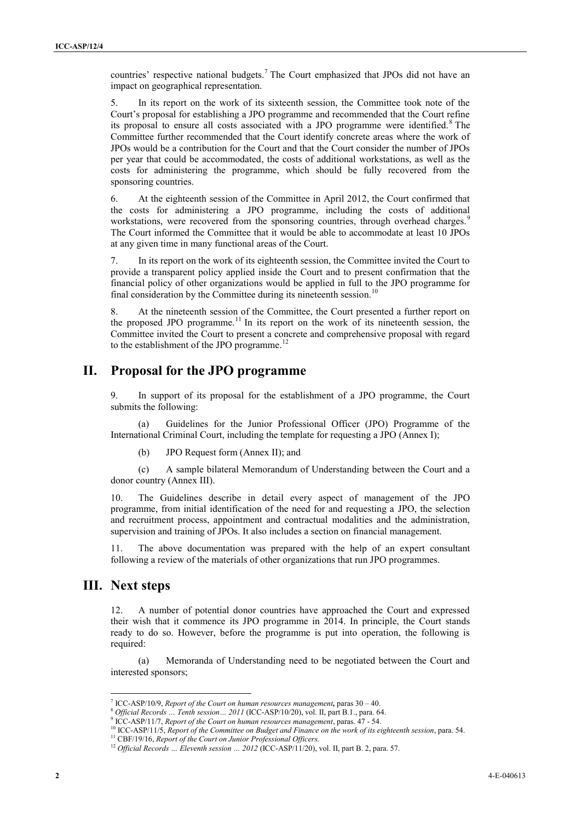countries' respective national budgets.<sup>7</sup> The Court emphasized that JPOs did not have an impact on geographical representation.

5. In its report on the work of its sixteenth session, the Committee took note of the Court's proposal for establishing a JPO programme and recommended that the Court refine its proposal to ensure all costs associated with a JPO programme were identified.<sup>8</sup> The Committee further recommended that the Court identify concrete areas where the work of JPOs would be a contribution for the Court and that the Court consider the number of JPOs per year that could be accommodated, the costs of additional workstations, as well as the costs for administering the programme, which should be fully recovered from the sponsoring countries.

6. At the eighteenth session of the Committee in April 2012, the Court confirmed that the costs for administering a JPO programme, including the costs of additional workstations, were recovered from the sponsoring countries, through overhead charges.<sup>9</sup> The Court informed the Committee that it would be able to accommodate at least 10 JPOs at any given time in many functional areas of the Court.

7. In its report on the work of its eighteenth session, the Committee invited the Court to provide a transparent policy applied inside the Court and to present confirmation that the financial policy of other organizations would be applied in full to the JPO programme for final consideration by the Committee during its nineteenth session.<sup>10</sup>

8. At the nineteenth session of the Committee, the Court presented a further report on the proposed JPO programme.<sup>11</sup> In its report on the work of its nineteenth session, the Committee invited the Court to present a concrete and comprehensive proposal with regard to the establishment of the JPO programme.<sup>12</sup>

## **II. Proposal for the JPO programme**

9. In support of its proposal for the establishment of a JPO programme, the Court submits the following:

(a) Guidelines for the Junior Professional Officer (JPO) Programme of the International Criminal Court, including the template for requesting a JPO (Annex I);

(b) JPO Request form (Annex II); and

(c) A sample bilateral Memorandum of Understanding between the Court and a donor country (Annex III).

10. The Guidelines describe in detail every aspect of management of the JPO programme, from initial identification of the need for and requesting a JPO, the selection and recruitment process, appointment and contractual modalities and the administration, supervision and training of JPOs. It also includes a section on financial management.

11. The above documentation was prepared with the help of an expert consultant following a review of the materials of other organizations that run JPO programmes.

### **III. Next steps**

12. A number of potential donor countries have approached the Court and expressed their wish that it commence its JPO programme in 2014. In principle, the Court stands ready to do so. However, before the programme is put into operation, the following is required:

(a) Memoranda of Understanding need to be negotiated between the Court and interested sponsors;

<sup>7</sup> ICC-ASP/10/9, *Report of the Court on human resources management,* paras 30 – 40.

<sup>8</sup> *Official Records … Tenth session… 2011* (ICC-ASP/10/20), vol. II, part B.1., para. 64.

<sup>9</sup> ICC-ASP/11/7, *Report of the Court on human resources management*, paras. 47 - 54.

<sup>10</sup> ICC-ASP/11/5, *Report of the Committee on Budget and Finance on the work of its eighteenth session*, para. 54.

<sup>&</sup>lt;sup>11</sup> CBF/19/16, *Report of the Court on Junior Professional Officers*.

<sup>&</sup>lt;sup>12</sup> Official Records ... Eleventh session ... 2012 (ICC-ASP/11/20), vol. II, part B. 2, para. 57.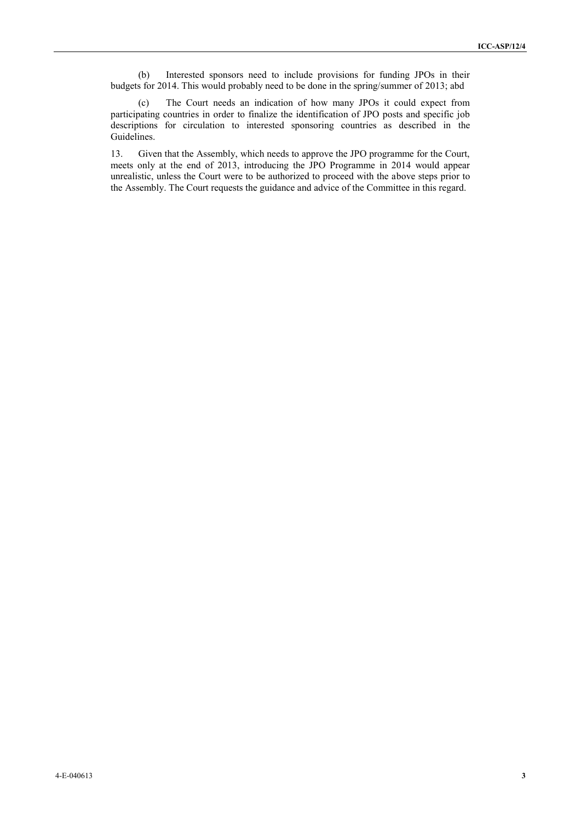(b) Interested sponsors need to include provisions for funding JPOs in their budgets for 2014. This would probably need to be done in the spring/summer of 2013; abd

(c) The Court needs an indication of how many JPOs it could expect from participating countries in order to finalize the identification of JPO posts and specific job descriptions for circulation to interested sponsoring countries as described in the Guidelines.

13. Given that the Assembly, which needs to approve the JPO programme for the Court, meets only at the end of 2013, introducing the JPO Programme in 2014 would appear unrealistic, unless the Court were to be authorized to proceed with the above steps prior to the Assembly. The Court requests the guidance and advice of the Committee in this regard.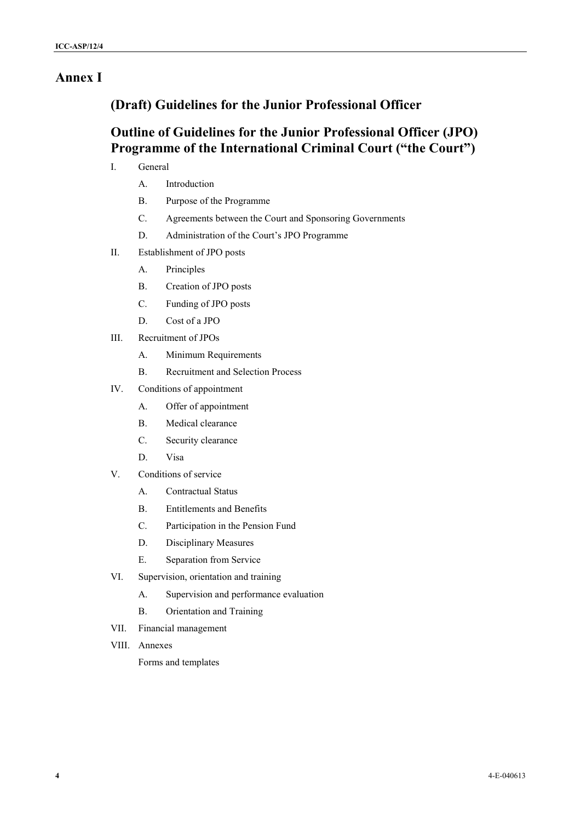## **Annex I**

## **(Draft) Guidelines for the Junior Professional Officer**

# **Outline of Guidelines for the Junior Professional Officer (JPO) Programme of the International Criminal Court ("the Court")**

- I. General
	- A. Introduction
	- B. Purpose of the Programme
	- C. Agreements between the Court and Sponsoring Governments
	- D. Administration of the Court's JPO Programme
- II. Establishment of JPO posts
	- A. Principles
	- B. Creation of JPO posts
	- C. Funding of JPO posts
	- D. Cost of a JPO
- III. Recruitment of JPOs
	- A. Minimum Requirements
	- B. Recruitment and Selection Process
- IV. Conditions of appointment
	- A. Offer of appointment
	- B. Medical clearance
	- C. Security clearance
	- D. Visa
- V. Conditions of service
	- A. Contractual Status
	- B. Entitlements and Benefits
	- C. Participation in the Pension Fund
	- D. Disciplinary Measures
	- E. Separation from Service
- VI. Supervision, orientation and training
	- A. Supervision and performance evaluation
	- B. Orientation and Training
- VII. Financial management
- VIII. Annexes

Forms and templates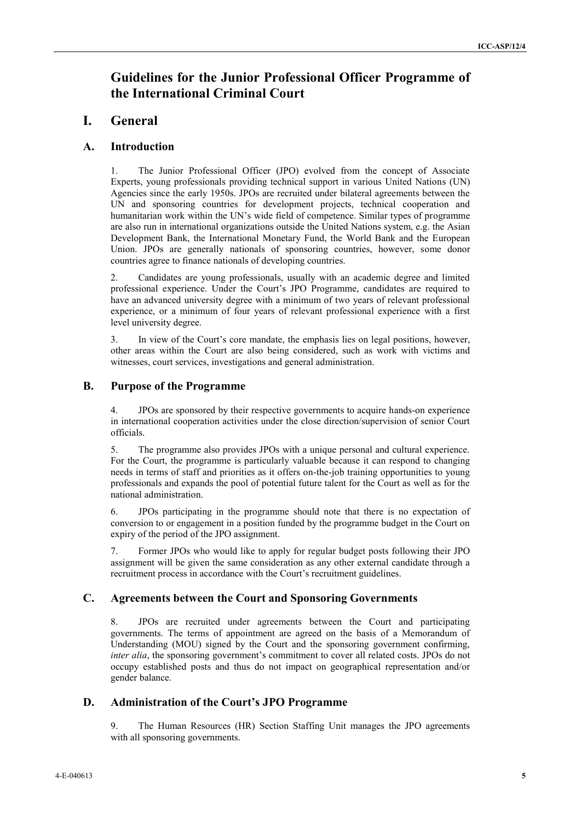# **Guidelines for the Junior Professional Officer Programme of the International Criminal Court**

### **I. General**

#### **A. Introduction**

1. The Junior Professional Officer (JPO) evolved from the concept of Associate Experts, young professionals providing technical support in various United Nations (UN) Agencies since the early 1950s. JPOs are recruited under bilateral agreements between the UN and sponsoring countries for development projects, technical cooperation and humanitarian work within the UN's wide field of competence. Similar types of programme are also run in international organizations outside the United Nations system, e.g. the Asian Development Bank, the International Monetary Fund, the World Bank and the European Union. JPOs are generally nationals of sponsoring countries, however, some donor countries agree to finance nationals of developing countries.

2. Candidates are young professionals, usually with an academic degree and limited professional experience. Under the Court's JPO Programme, candidates are required to have an advanced university degree with a minimum of two years of relevant professional experience, or a minimum of four years of relevant professional experience with a first level university degree.

3. In view of the Court's core mandate, the emphasis lies on legal positions, however, other areas within the Court are also being considered, such as work with victims and witnesses, court services, investigations and general administration.

### **B. Purpose of the Programme**

4. JPOs are sponsored by their respective governments to acquire hands-on experience in international cooperation activities under the close direction/supervision of senior Court officials.

5. The programme also provides JPOs with a unique personal and cultural experience. For the Court, the programme is particularly valuable because it can respond to changing needs in terms of staff and priorities as it offers on-the-job training opportunities to young professionals and expands the pool of potential future talent for the Court as well as for the national administration.

6. JPOs participating in the programme should note that there is no expectation of conversion to or engagement in a position funded by the programme budget in the Court on expiry of the period of the JPO assignment.

7. Former JPOs who would like to apply for regular budget posts following their JPO assignment will be given the same consideration as any other external candidate through a recruitment process in accordance with the Court's recruitment guidelines.

### **C. Agreements between the Court and Sponsoring Governments**

8. JPOs are recruited under agreements between the Court and participating governments. The terms of appointment are agreed on the basis of a Memorandum of Understanding (MOU) signed by the Court and the sponsoring government confirming, *inter alia*, the sponsoring government's commitment to cover all related costs. JPOs do not occupy established posts and thus do not impact on geographical representation and/or gender balance.

### **D. Administration of the Court's JPO Programme**

9. The Human Resources (HR) Section Staffing Unit manages the JPO agreements with all sponsoring governments.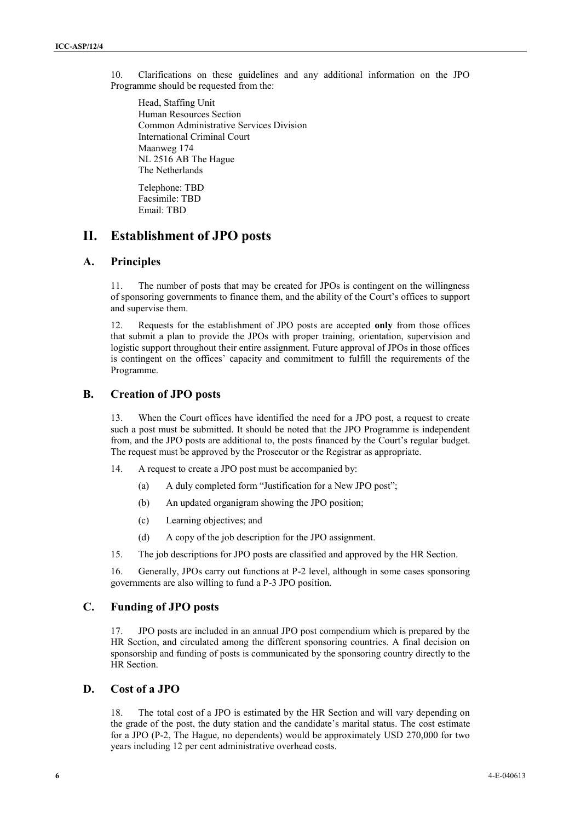10. Clarifications on these guidelines and any additional information on the JPO **<sup>6</sup>** Programme should be requested from the:

Head, Staffing Unit Human Resources Section Common Administrative Services Division International Criminal Court Maanweg 174 NL 2516 AB The Hague The Netherlands

Telephone: TBD Facsimile: TBD Email: TBD

### **II. Establishment of JPO posts**

#### **A. Principles**

11. The number of posts that may be created for JPOs is contingent on the willingness of sponsoring governments to finance them, and the ability of the Court's offices to support and supervise them.

12. Requests for the establishment of JPO posts are accepted **only** from those offices that submit a plan to provide the JPOs with proper training, orientation, supervision and logistic support throughout their entire assignment. Future approval of JPOs in those offices is contingent on the offices' capacity and commitment to fulfill the requirements of the Programme.

#### **B. Creation of JPO posts**

13. When the Court offices have identified the need for a JPO post, a request to create such a post must be submitted. It should be noted that the JPO Programme is independent from, and the JPO posts are additional to, the posts financed by the Court's regular budget. The request must be approved by the Prosecutor or the Registrar as appropriate.

- 14. A request to create a JPO post must be accompanied by:
	- (a) A duly completed form "Justification for a New JPO post";
	- (b) An updated organigram showing the JPO position;
	- (c) Learning objectives; and
	- (d) A copy of the job description for the JPO assignment.
- 15. The job descriptions for JPO posts are classified and approved by the HR Section.

16. Generally, JPOs carry out functions at P-2 level, although in some cases sponsoring governments are also willing to fund a P-3 JPO position.

### **C. Funding of JPO posts**

17. JPO posts are included in an annual JPO post compendium which is prepared by the HR Section, and circulated among the different sponsoring countries. A final decision on sponsorship and funding of posts is communicated by the sponsoring country directly to the HR Section.

### **D. Cost of a JPO**

18. The total cost of a JPO is estimated by the HR Section and will vary depending on the grade of the post, the duty station and the candidate's marital status. The cost estimate for a JPO (P-2, The Hague, no dependents) would be approximately USD 270,000 for two years including 12 per cent administrative overhead costs.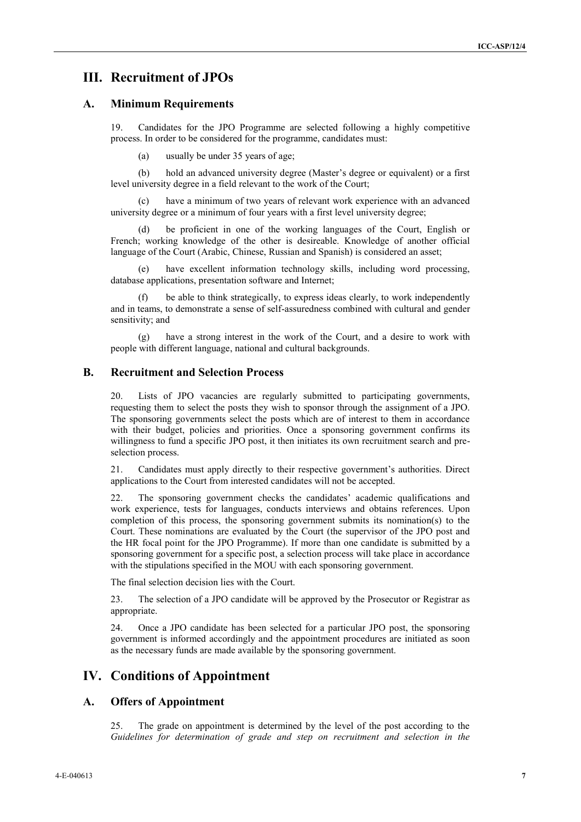## **III. Recruitment of JPOs**

#### **A. Minimum Requirements**

19. Candidates for the JPO Programme are selected following a highly competitive process. In order to be considered for the programme, candidates must:

(a) usually be under 35 years of age;

(b) hold an advanced university degree (Master's degree or equivalent) or a first level university degree in a field relevant to the work of the Court;

(c) have a minimum of two years of relevant work experience with an advanced university degree or a minimum of four years with a first level university degree;

be proficient in one of the working languages of the Court, English or French; working knowledge of the other is desireable. Knowledge of another official language of the Court (Arabic, Chinese, Russian and Spanish) is considered an asset;

(e) have excellent information technology skills, including word processing, database applications, presentation software and Internet;

be able to think strategically, to express ideas clearly, to work independently and in teams, to demonstrate a sense of self-assuredness combined with cultural and gender sensitivity; and

(g) have a strong interest in the work of the Court, and a desire to work with people with different language, national and cultural backgrounds.

#### **B. Recruitment and Selection Process**

20. Lists of JPO vacancies are regularly submitted to participating governments, requesting them to select the posts they wish to sponsor through the assignment of a JPO. The sponsoring governments select the posts which are of interest to them in accordance with their budget, policies and priorities. Once a sponsoring government confirms its willingness to fund a specific JPO post, it then initiates its own recruitment search and preselection process.

21. Candidates must apply directly to their respective government's authorities. Direct applications to the Court from interested candidates will not be accepted.

22. The sponsoring government checks the candidates' academic qualifications and work experience, tests for languages, conducts interviews and obtains references. Upon completion of this process, the sponsoring government submits its nomination(s) to the Court. These nominations are evaluated by the Court (the supervisor of the JPO post and the HR focal point for the JPO Programme). If more than one candidate is submitted by a sponsoring government for a specific post, a selection process will take place in accordance with the stipulations specified in the MOU with each sponsoring government.

The final selection decision lies with the Court.

23. The selection of a JPO candidate will be approved by the Prosecutor or Registrar as appropriate.

24. Once a JPO candidate has been selected for a particular JPO post, the sponsoring government is informed accordingly and the appointment procedures are initiated as soon as the necessary funds are made available by the sponsoring government.

## **IV. Conditions of Appointment**

#### **A. Offers of Appointment**

25. The grade on appointment is determined by the level of the post according to the *Guidelines for determination of grade and step on recruitment and selection in the*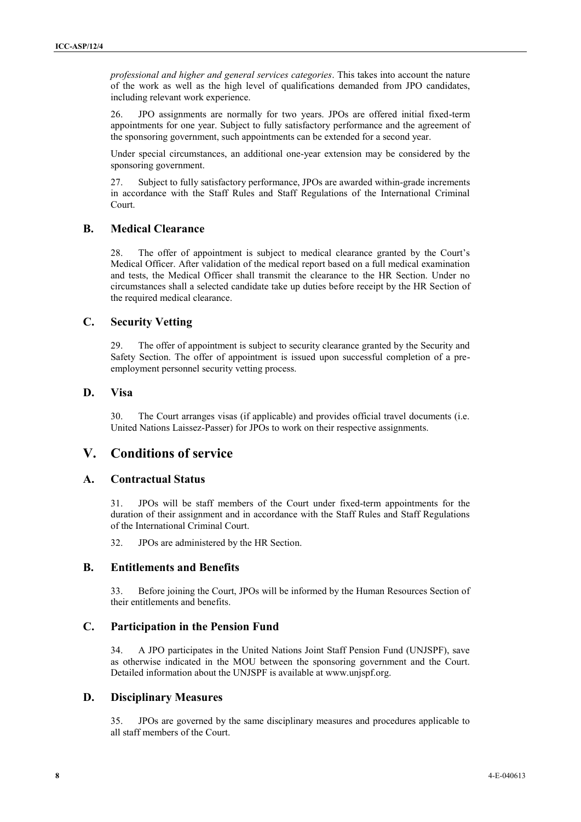*professional and higher and general services categories*. This takes into account the nature **8** of the work as well as the high level of qualifications demanded from JPO candidates, including relevant work experience.

26. JPO assignments are normally for two years. JPOs are offered initial fixed-term appointments for one year. Subject to fully satisfactory performance and the agreement of the sponsoring government, such appointments can be extended for a second year.

Under special circumstances, an additional one-year extension may be considered by the sponsoring government.

27. Subject to fully satisfactory performance, JPOs are awarded within-grade increments in accordance with the Staff Rules and Staff Regulations of the International Criminal Court.

### **B. Medical Clearance**

28. The offer of appointment is subject to medical clearance granted by the Court's Medical Officer. After validation of the medical report based on a full medical examination and tests, the Medical Officer shall transmit the clearance to the HR Section. Under no circumstances shall a selected candidate take up duties before receipt by the HR Section of the required medical clearance.

### **C. Security Vetting**

29. The offer of appointment is subject to security clearance granted by the Security and Safety Section. The offer of appointment is issued upon successful completion of a preemployment personnel security vetting process.

### **D. Visa**

30. The Court arranges visas (if applicable) and provides official travel documents (i.e. United Nations Laissez-Passer) for JPOs to work on their respective assignments.

## **V. Conditions of service**

### **A. Contractual Status**

31. JPOs will be staff members of the Court under fixed-term appointments for the duration of their assignment and in accordance with the Staff Rules and Staff Regulations of the International Criminal Court.

32. JPOs are administered by the HR Section.

### **B. Entitlements and Benefits**

33. Before joining the Court, JPOs will be informed by the Human Resources Section of their entitlements and benefits.

### **C. Participation in the Pension Fund**

34. A JPO participates in the United Nations Joint Staff Pension Fund (UNJSPF), save as otherwise indicated in the MOU between the sponsoring government and the Court. Detailed information about the UNJSPF is available at www.unjspf.org.

### **D. Disciplinary Measures**

35. JPOs are governed by the same disciplinary measures and procedures applicable to all staff members of the Court.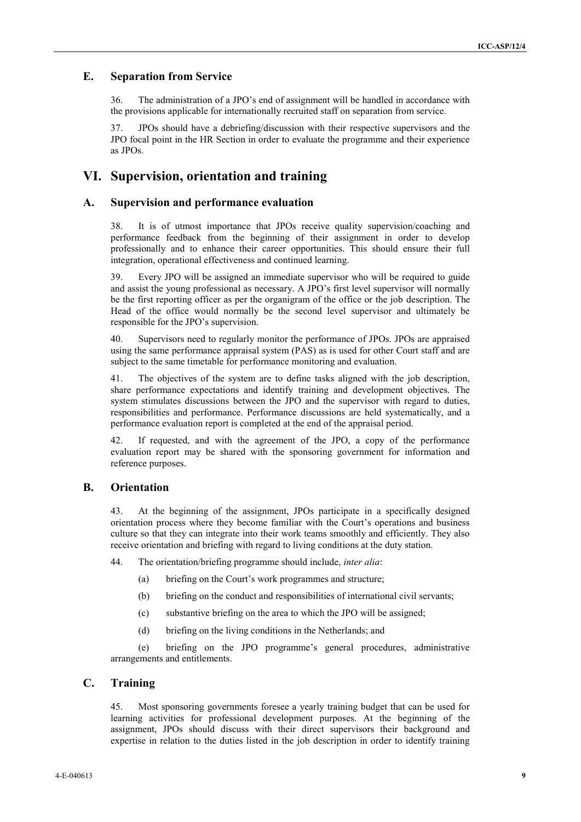### **E. Separation from Service**

36. The administration of a JPO's end of assignment will be handled in accordance with the provisions applicable for internationally recruited staff on separation from service.

37. JPOs should have a debriefing/discussion with their respective supervisors and the JPO focal point in the HR Section in order to evaluate the programme and their experience as JPOs.

### **VI. Supervision, orientation and training**

#### **A. Supervision and performance evaluation**

38. It is of utmost importance that JPOs receive quality supervision/coaching and performance feedback from the beginning of their assignment in order to develop professionally and to enhance their career opportunities. This should ensure their full integration, operational effectiveness and continued learning.

39. Every JPO will be assigned an immediate supervisor who will be required to guide and assist the young professional as necessary. A JPO's first level supervisor will normally be the first reporting officer as per the organigram of the office or the job description. The Head of the office would normally be the second level supervisor and ultimately be responsible for the JPO's supervision.

40. Supervisors need to regularly monitor the performance of JPOs. JPOs are appraised using the same performance appraisal system (PAS) as is used for other Court staff and are subject to the same timetable for performance monitoring and evaluation.

41. The objectives of the system are to define tasks aligned with the job description, share performance expectations and identify training and development objectives. The system stimulates discussions between the JPO and the supervisor with regard to duties, responsibilities and performance. Performance discussions are held systematically, and a performance evaluation report is completed at the end of the appraisal period.

42. If requested, and with the agreement of the JPO, a copy of the performance evaluation report may be shared with the sponsoring government for information and reference purposes.

### **B. Orientation**

43. At the beginning of the assignment, JPOs participate in a specifically designed orientation process where they become familiar with the Court's operations and business culture so that they can integrate into their work teams smoothly and efficiently. They also receive orientation and briefing with regard to living conditions at the duty station.

44. The orientation/briefing programme should include, *inter alia*:

- (a) briefing on the Court's work programmes and structure;
- (b) briefing on the conduct and responsibilities of international civil servants;
- (c) substantive briefing on the area to which the JPO will be assigned;
- (d) briefing on the living conditions in the Netherlands; and

(e) briefing on the JPO programme's general procedures, administrative arrangements and entitlements.

#### **C. Training**

45. Most sponsoring governments foresee a yearly training budget that can be used for learning activities for professional development purposes. At the beginning of the assignment, JPOs should discuss with their direct supervisors their background and expertise in relation to the duties listed in the job description in order to identify training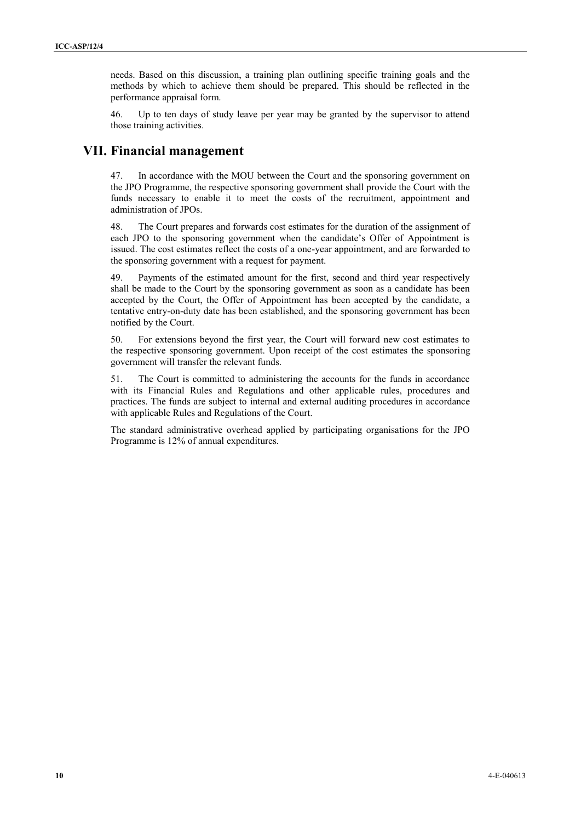needs. Based on this discussion, a training plan outlining specific training goals and the methods by which to achieve them should be prepared. This should be reflected in the performance appraisal form.

46. Up to ten days of study leave per year may be granted by the supervisor to attend those training activities.

## **VII. Financial management**

47. In accordance with the MOU between the Court and the sponsoring government on the JPO Programme, the respective sponsoring government shall provide the Court with the funds necessary to enable it to meet the costs of the recruitment, appointment and administration of JPOs.

48. The Court prepares and forwards cost estimates for the duration of the assignment of each JPO to the sponsoring government when the candidate's Offer of Appointment is issued. The cost estimates reflect the costs of a one-year appointment, and are forwarded to the sponsoring government with a request for payment.

49. Payments of the estimated amount for the first, second and third year respectively shall be made to the Court by the sponsoring government as soon as a candidate has been accepted by the Court, the Offer of Appointment has been accepted by the candidate, a tentative entry-on-duty date has been established, and the sponsoring government has been notified by the Court.

50. For extensions beyond the first year, the Court will forward new cost estimates to the respective sponsoring government. Upon receipt of the cost estimates the sponsoring government will transfer the relevant funds.

51. The Court is committed to administering the accounts for the funds in accordance with its Financial Rules and Regulations and other applicable rules, procedures and practices. The funds are subject to internal and external auditing procedures in accordance with applicable Rules and Regulations of the Court.

The standard administrative overhead applied by participating organisations for the JPO Programme is 12% of annual expenditures.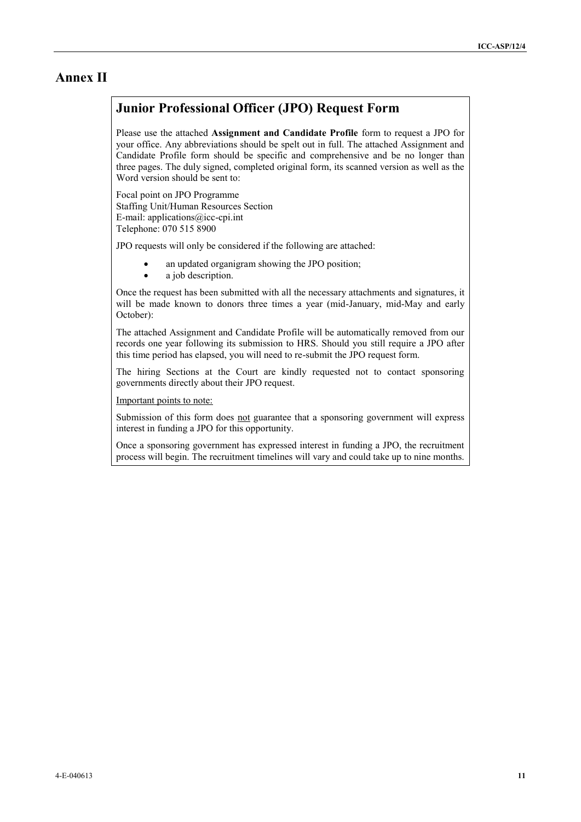## **Annex II**

# **Junior Professional Officer (JPO) Request Form**

Please use the attached **Assignment and Candidate Profile** form to request a JPO for your office. Any abbreviations should be spelt out in full. The attached Assignment and Candidate Profile form should be specific and comprehensive and be no longer than three pages. The duly signed, completed original form, its scanned version as well as the Word version should be sent to:

Focal point on JPO Programme Staffing Unit/Human Resources Section E-mail: applications@icc-cpi.int Telephone: 070 515 8900

JPO requests will only be considered if the following are attached:

- an updated organigram showing the JPO position;
- a job description.

Once the request has been submitted with all the necessary attachments and signatures, it will be made known to donors three times a year (mid-January, mid-May and early October):

The attached Assignment and Candidate Profile will be automatically removed from our records one year following its submission to HRS. Should you still require a JPO after this time period has elapsed, you will need to re-submit the JPO request form.

The hiring Sections at the Court are kindly requested not to contact sponsoring governments directly about their JPO request.

Important points to note:

Submission of this form does not guarantee that a sponsoring government will express interest in funding a JPO for this opportunity.

Once a sponsoring government has expressed interest in funding a JPO, the recruitment process will begin. The recruitment timelines will vary and could take up to nine months.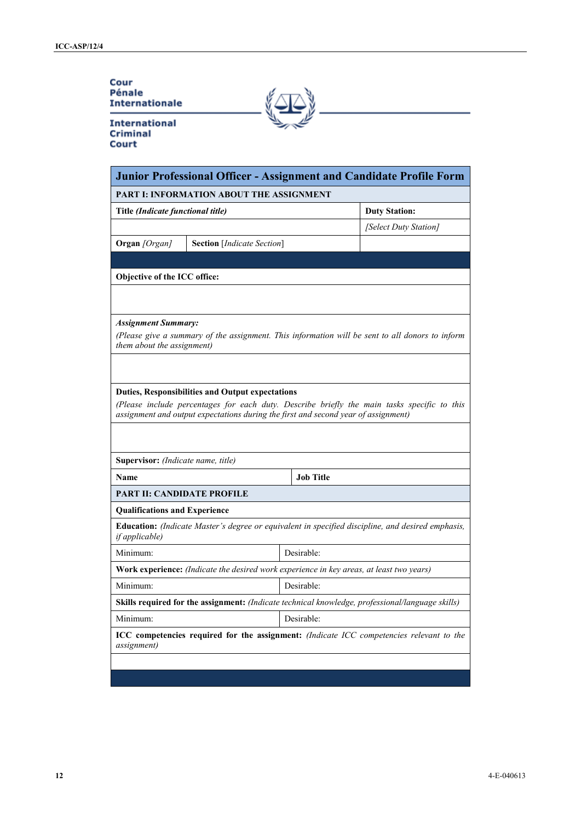### Cour Pénale **Internationale**

**International** Criminal Court

| Junior Professional Officer - Assignment and Candidate Profile Form<br><b>PART I: INFORMATION ABOUT THE ASSIGNMENT</b> |                                                                                                  |                  |                                                                                                   |  |  |
|------------------------------------------------------------------------------------------------------------------------|--------------------------------------------------------------------------------------------------|------------------|---------------------------------------------------------------------------------------------------|--|--|
|                                                                                                                        |                                                                                                  |                  |                                                                                                   |  |  |
|                                                                                                                        |                                                                                                  |                  | [Select Duty Station]                                                                             |  |  |
| Organ [Organ]                                                                                                          | <b>Section</b> [Indicate Section]                                                                |                  |                                                                                                   |  |  |
|                                                                                                                        |                                                                                                  |                  |                                                                                                   |  |  |
| Objective of the ICC office:                                                                                           |                                                                                                  |                  |                                                                                                   |  |  |
|                                                                                                                        |                                                                                                  |                  |                                                                                                   |  |  |
|                                                                                                                        |                                                                                                  |                  |                                                                                                   |  |  |
| <b>Assignment Summary:</b>                                                                                             |                                                                                                  |                  | (Please give a summary of the assignment. This information will be sent to all donors to inform   |  |  |
| them about the assignment)                                                                                             |                                                                                                  |                  |                                                                                                   |  |  |
|                                                                                                                        |                                                                                                  |                  |                                                                                                   |  |  |
|                                                                                                                        |                                                                                                  |                  |                                                                                                   |  |  |
|                                                                                                                        | <b>Duties, Responsibilities and Output expectations</b>                                          |                  |                                                                                                   |  |  |
|                                                                                                                        | assignment and output expectations during the first and second year of assignment)               |                  | (Please include percentages for each duty. Describe briefly the main tasks specific to this       |  |  |
|                                                                                                                        |                                                                                                  |                  |                                                                                                   |  |  |
|                                                                                                                        |                                                                                                  |                  |                                                                                                   |  |  |
| Supervisor: (Indicate name, title)                                                                                     |                                                                                                  |                  |                                                                                                   |  |  |
| Name                                                                                                                   |                                                                                                  | <b>Job Title</b> |                                                                                                   |  |  |
| PART II: CANDIDATE PROFILE                                                                                             |                                                                                                  |                  |                                                                                                   |  |  |
| <b>Qualifications and Experience</b>                                                                                   |                                                                                                  |                  |                                                                                                   |  |  |
| if applicable)                                                                                                         |                                                                                                  |                  | Education: (Indicate Master's degree or equivalent in specified discipline, and desired emphasis, |  |  |
| Minimum:                                                                                                               |                                                                                                  | Desirable:       |                                                                                                   |  |  |
|                                                                                                                        | Work experience: (Indicate the desired work experience in key areas, at least two years)         |                  |                                                                                                   |  |  |
| Minimum:                                                                                                               |                                                                                                  | Desirable:       |                                                                                                   |  |  |
|                                                                                                                        | Skills required for the assignment: (Indicate technical knowledge, professional/language skills) |                  |                                                                                                   |  |  |
| Minimum:                                                                                                               |                                                                                                  | Desirable:       |                                                                                                   |  |  |
|                                                                                                                        |                                                                                                  |                  | ICC competencies required for the assignment: (Indicate ICC competencies relevant to the          |  |  |
| <i>assignment</i> )                                                                                                    |                                                                                                  |                  |                                                                                                   |  |  |
|                                                                                                                        |                                                                                                  |                  |                                                                                                   |  |  |
|                                                                                                                        |                                                                                                  |                  |                                                                                                   |  |  |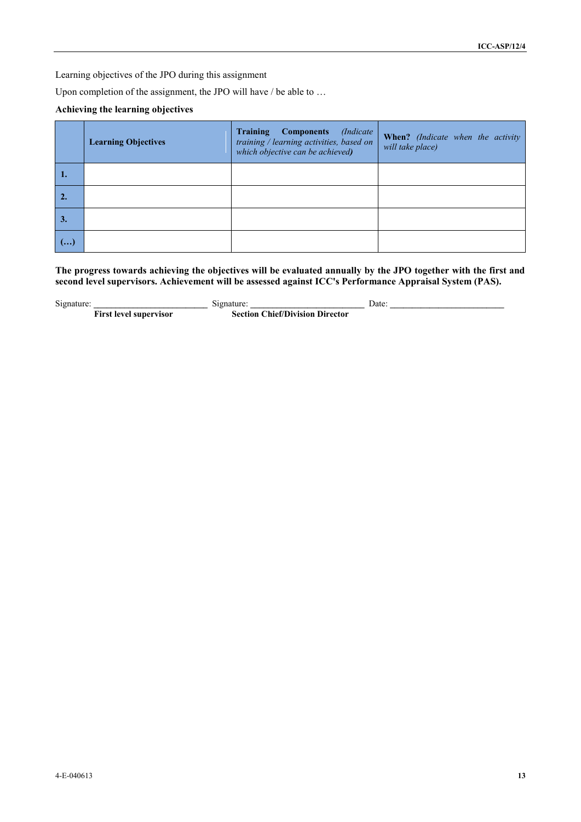Learning objectives of the JPO during this assignment

Upon completion of the assignment, the JPO will have / be able to ...

#### **Achieving the learning objectives**

|    | <b>Learning Objectives</b> | <b>Training</b><br>(Indicate)<br><b>Components</b><br>training / learning activities, based on<br>which objective can be achieved) | When? (Indicate when the activity<br>will take place) |
|----|----------------------------|------------------------------------------------------------------------------------------------------------------------------------|-------------------------------------------------------|
| 1. |                            |                                                                                                                                    |                                                       |
|    |                            |                                                                                                                                    |                                                       |
| 3. |                            |                                                                                                                                    |                                                       |
| () |                            |                                                                                                                                    |                                                       |

**The progress towards achieving the objectives will be evaluated annually by the JPO together with the first and second level supervisors. Achievement will be assessed against ICC's Performance Appraisal System (PAS).** 

Signature: **Example 3. Signature: Example 3. Signature: Date: Date: C First level supervisor Section Chief/Division Director**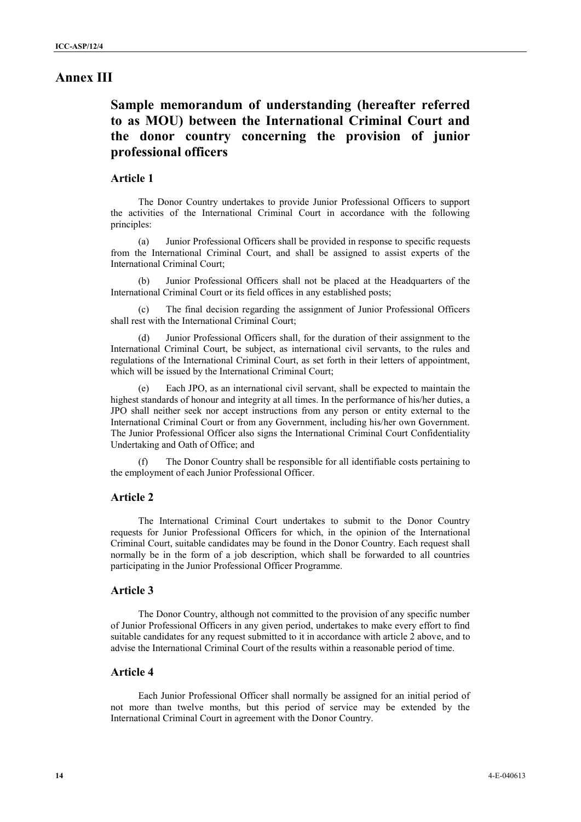### **Annex III**

# **Sample memorandum of understanding (hereafter referred to as MOU) between the International Criminal Court and the donor country concerning the provision of junior professional officers**

#### **Article 1**

The Donor Country undertakes to provide Junior Professional Officers to support the activities of the International Criminal Court in accordance with the following principles:

(a) Junior Professional Officers shall be provided in response to specific requests from the International Criminal Court, and shall be assigned to assist experts of the International Criminal Court;

(b) Junior Professional Officers shall not be placed at the Headquarters of the International Criminal Court or its field offices in any established posts;

The final decision regarding the assignment of Junior Professional Officers shall rest with the International Criminal Court;

(d) Junior Professional Officers shall, for the duration of their assignment to the International Criminal Court, be subject, as international civil servants, to the rules and regulations of the International Criminal Court, as set forth in their letters of appointment, which will be issued by the International Criminal Court;

Each JPO, as an international civil servant, shall be expected to maintain the highest standards of honour and integrity at all times. In the performance of his/her duties, a JPO shall neither seek nor accept instructions from any person or entity external to the International Criminal Court or from any Government, including his/her own Government. The Junior Professional Officer also signs the International Criminal Court Confidentiality Undertaking and Oath of Office; and

(f) The Donor Country shall be responsible for all identifiable costs pertaining to the employment of each Junior Professional Officer.

#### **Article 2**

The International Criminal Court undertakes to submit to the Donor Country requests for Junior Professional Officers for which, in the opinion of the International Criminal Court, suitable candidates may be found in the Donor Country. Each request shall normally be in the form of a job description, which shall be forwarded to all countries participating in the Junior Professional Officer Programme.

#### **Article 3**

The Donor Country, although not committed to the provision of any specific number of Junior Professional Officers in any given period, undertakes to make every effort to find suitable candidates for any request submitted to it in accordance with article 2 above, and to advise the International Criminal Court of the results within a reasonable period of time.

### **Article 4**

Each Junior Professional Officer shall normally be assigned for an initial period of not more than twelve months, but this period of service may be extended by the International Criminal Court in agreement with the Donor Country.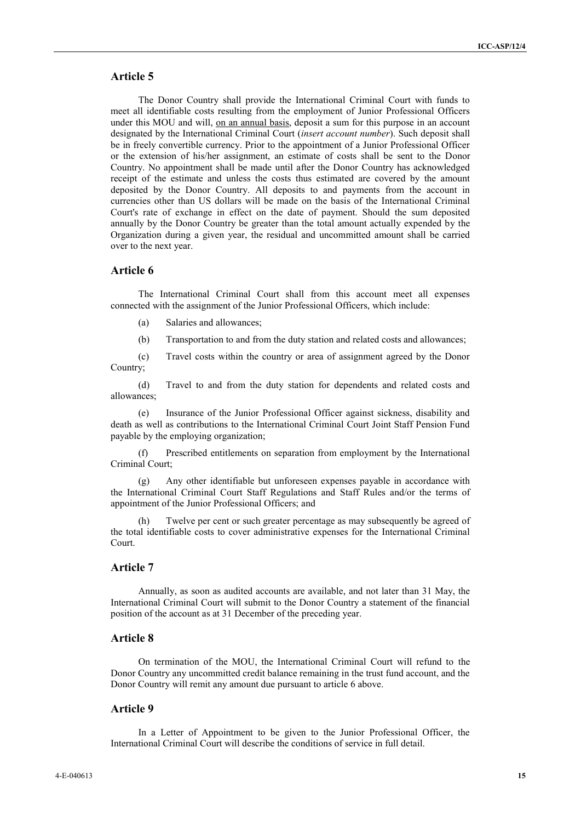### **Article 5**

The Donor Country shall provide the International Criminal Court with funds to meet all identifiable costs resulting from the employment of Junior Professional Officers under this MOU and will, on an annual basis, deposit a sum for this purpose in an account designated by the International Criminal Court (*insert account number*). Such deposit shall be in freely convertible currency. Prior to the appointment of a Junior Professional Officer or the extension of his/her assignment, an estimate of costs shall be sent to the Donor Country. No appointment shall be made until after the Donor Country has acknowledged receipt of the estimate and unless the costs thus estimated are covered by the amount deposited by the Donor Country. All deposits to and payments from the account in currencies other than US dollars will be made on the basis of the International Criminal Court's rate of exchange in effect on the date of payment. Should the sum deposited annually by the Donor Country be greater than the total amount actually expended by the Organization during a given year, the residual and uncommitted amount shall be carried over to the next year.

#### **Article 6**

The International Criminal Court shall from this account meet all expenses connected with the assignment of the Junior Professional Officers, which include:

- (a) Salaries and allowances;
- (b) Transportation to and from the duty station and related costs and allowances;

(c) Travel costs within the country or area of assignment agreed by the Donor Country;

(d) Travel to and from the duty station for dependents and related costs and allowances;

(e) Insurance of the Junior Professional Officer against sickness, disability and death as well as contributions to the International Criminal Court Joint Staff Pension Fund payable by the employing organization;

(f) Prescribed entitlements on separation from employment by the International Criminal Court;

(g) Any other identifiable but unforeseen expenses payable in accordance with the International Criminal Court Staff Regulations and Staff Rules and/or the terms of appointment of the Junior Professional Officers; and

Twelve per cent or such greater percentage as may subsequently be agreed of the total identifiable costs to cover administrative expenses for the International Criminal Court.

#### **Article 7**

Annually, as soon as audited accounts are available, and not later than 31 May, the International Criminal Court will submit to the Donor Country a statement of the financial position of the account as at 31 December of the preceding year.

#### **Article 8**

On termination of the MOU, the International Criminal Court will refund to the Donor Country any uncommitted credit balance remaining in the trust fund account, and the Donor Country will remit any amount due pursuant to article 6 above.

#### **Article 9**

In a Letter of Appointment to be given to the Junior Professional Officer, the International Criminal Court will describe the conditions of service in full detail.